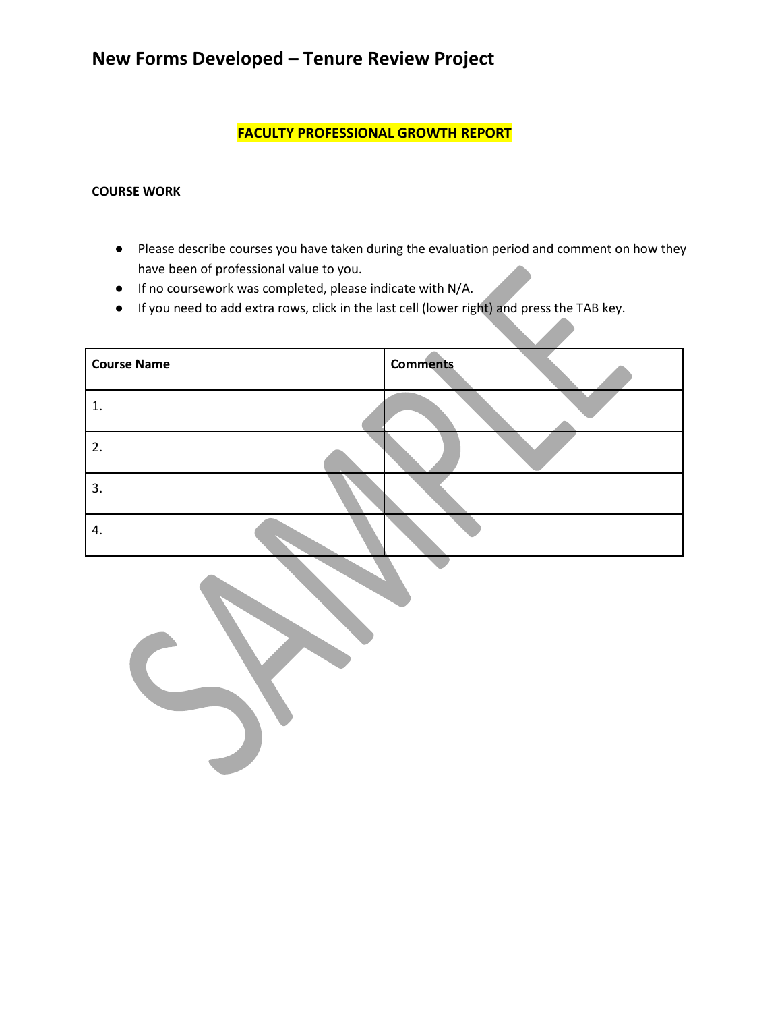**FACULTY PROFESSIONAL GROWTH REPORT**

#### **COURSE WORK**

- Please describe courses you have taken during the evaluation period and comment on how they have been of professional value to you.
- If no coursework was completed, please indicate with N/A.
- If you need to add extra rows, click in the last cell (lower right) and press the TAB key.

| <b>Course Name</b> | <b>Comments</b> |
|--------------------|-----------------|
|                    |                 |
| 2.                 |                 |
| 3.                 |                 |
| 4.                 |                 |

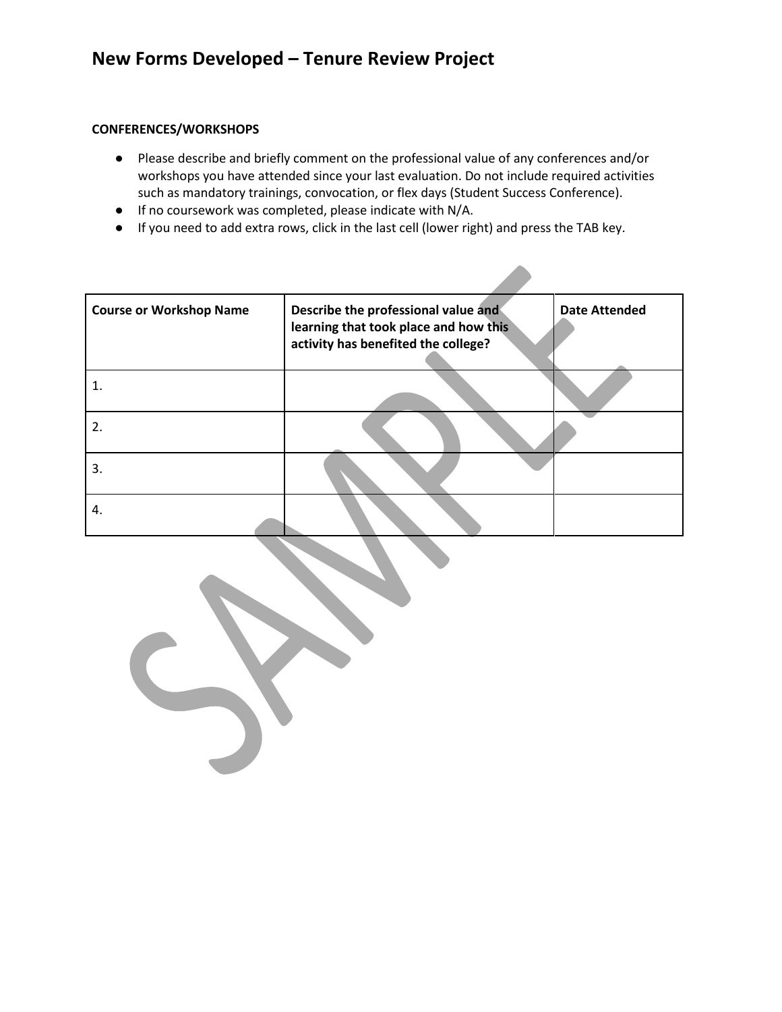#### **CONFERENCES/WORKSHOPS**

- Please describe and briefly comment on the professional value of any conferences and/or workshops you have attended since your last evaluation. Do not include required activities such as mandatory trainings, convocation, or flex days (Student Success Conference).
- If no coursework was completed, please indicate with N/A.
- If you need to add extra rows, click in the last cell (lower right) and press the TAB key.

| <b>Course or Workshop Name</b> | Describe the professional value and<br>learning that took place and how this<br>activity has benefited the college? | <b>Date Attended</b> |
|--------------------------------|---------------------------------------------------------------------------------------------------------------------|----------------------|
|                                |                                                                                                                     |                      |
| 2.                             |                                                                                                                     |                      |
| 3.                             |                                                                                                                     |                      |
| 4.                             |                                                                                                                     |                      |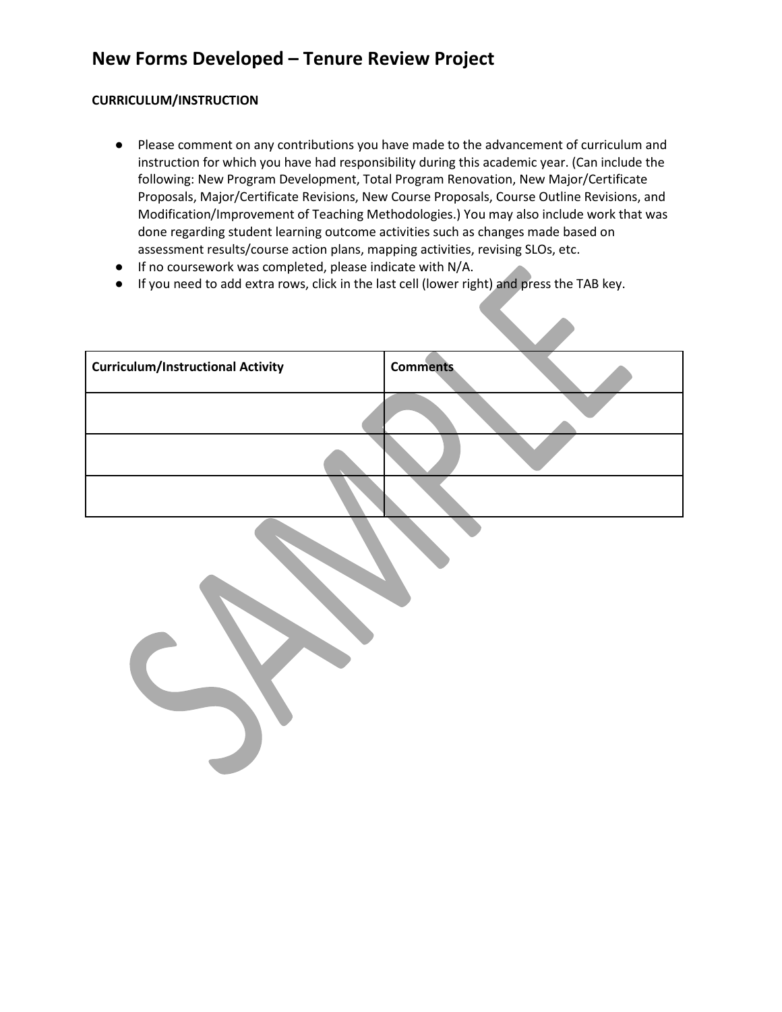#### **CURRICULUM/INSTRUCTION**

- Please comment on any contributions you have made to the advancement of curriculum and instruction for which you have had responsibility during this academic year. (Can include the following: New Program Development, Total Program Renovation, New Major/Certificate Proposals, Major/Certificate Revisions, New Course Proposals, Course Outline Revisions, and Modification/Improvement of Teaching Methodologies.) You may also include work that was done regarding student learning outcome activities such as changes made based on assessment results/course action plans, mapping activities, revising SLOs, etc.
- If no coursework was completed, please indicate with N/A.
- If you need to add extra rows, click in the last cell (lower right) and press the TAB key.

| <b>Curriculum/Instructional Activity</b> | <b>Comments</b> |
|------------------------------------------|-----------------|
|                                          |                 |
|                                          |                 |
|                                          |                 |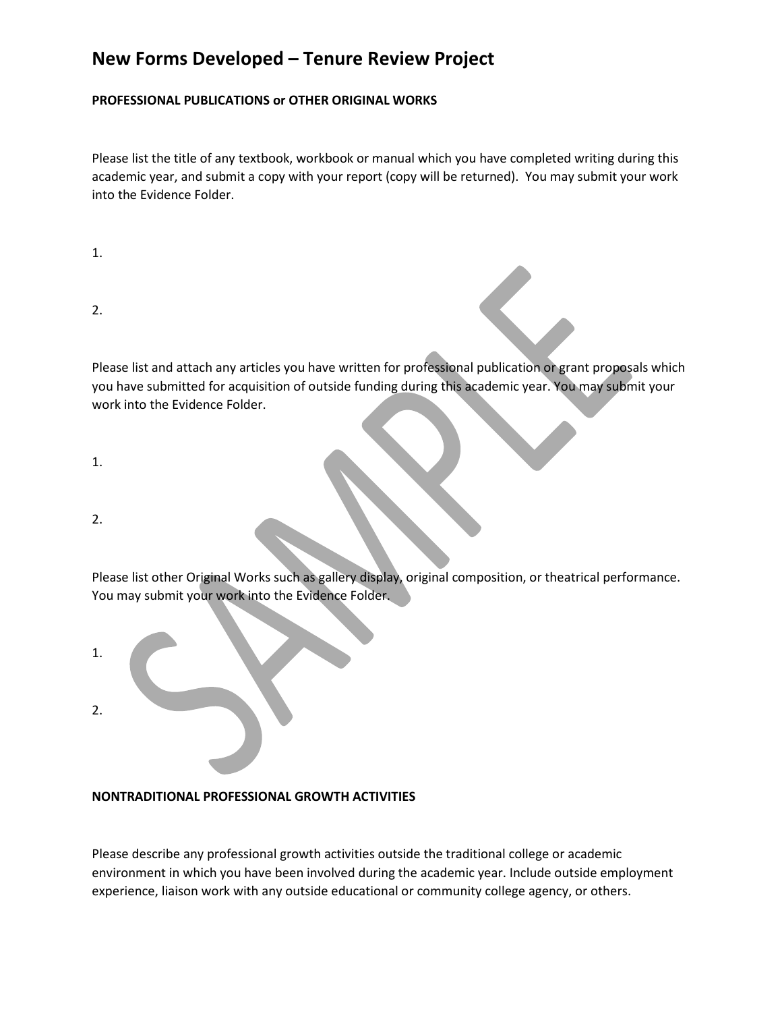#### **PROFESSIONAL PUBLICATIONS or OTHER ORIGINAL WORKS**

Please list the title of any textbook, workbook or manual which you have completed writing during this academic year, and submit a copy with your report (copy will be returned). You may submit your work into the Evidence Folder.

| I  |  |
|----|--|
| н. |  |

2.

Please list and attach any articles you have written for professional publication or grant proposals which you have submitted for acquisition of outside funding during this academic year. You may submit your work into the Evidence Folder.

1.

2.

Please list other Original Works such as gallery display, original composition, or theatrical performance. You may submit your work into the Evidence Folder.

1. 2.

#### **NONTRADITIONAL PROFESSIONAL GROWTH ACTIVITIES**

Please describe any professional growth activities outside the traditional college or academic environment in which you have been involved during the academic year. Include outside employment experience, liaison work with any outside educational or community college agency, or others.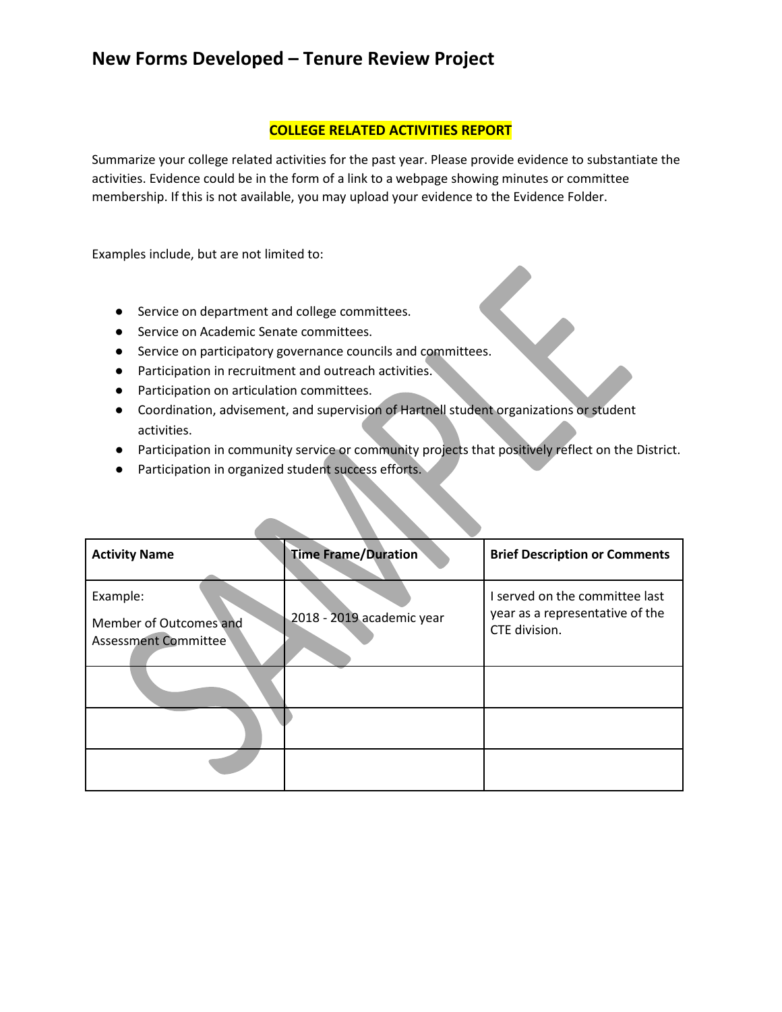#### **COLLEGE RELATED ACTIVITIES REPORT**

Summarize your college related activities for the past year. Please provide evidence to substantiate the activities. Evidence could be in the form of a link to a webpage showing minutes or committee membership. If this is not available, you may upload your evidence to the Evidence Folder.

Examples include, but are not limited to:

- Service on department and college committees.
- Service on Academic Senate committees.
- Service on participatory governance councils and committees.
- Participation in recruitment and outreach activities.
- Participation on articulation committees.
- Coordination, advisement, and supervision of Hartnell student organizations or student activities.
- Participation in community service or community projects that positively reflect on the District.
- Participation in organized student success efforts.

| <b>Activity Name</b>                                       | <b>Time Frame/Duration</b> | <b>Brief Description or Comments</b>                                               |
|------------------------------------------------------------|----------------------------|------------------------------------------------------------------------------------|
| Example:<br>Member of Outcomes and<br>Assessment Committee | 2018 - 2019 academic year  | I served on the committee last<br>year as a representative of the<br>CTE division. |
|                                                            |                            |                                                                                    |
|                                                            |                            |                                                                                    |
|                                                            |                            |                                                                                    |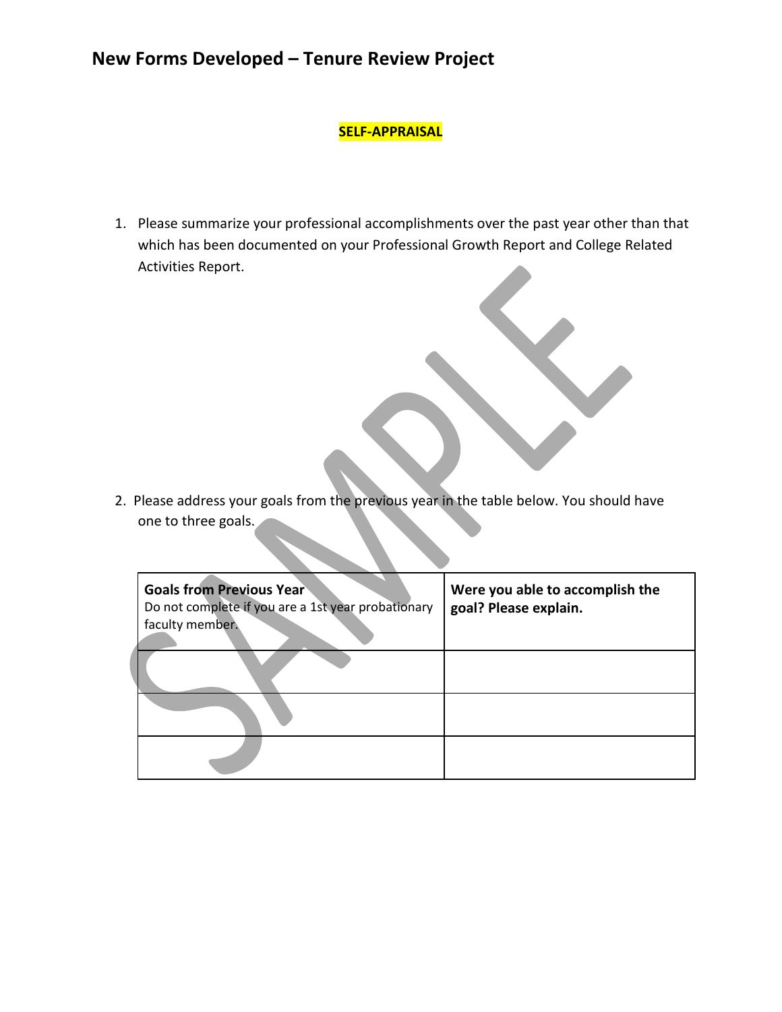#### **SELF-APPRAISAL**

1. Please summarize your professional accomplishments over the past year other than that which has been documented on your Professional Growth Report and College Related Activities Report.

2. Please address your goals from the previous year in the table below. You should have one to three goals.

| <b>Goals from Previous Year</b><br>Do not complete if you are a 1st year probationary<br>faculty member. | Were you able to accomplish the<br>goal? Please explain. |
|----------------------------------------------------------------------------------------------------------|----------------------------------------------------------|
|                                                                                                          |                                                          |
|                                                                                                          |                                                          |
|                                                                                                          |                                                          |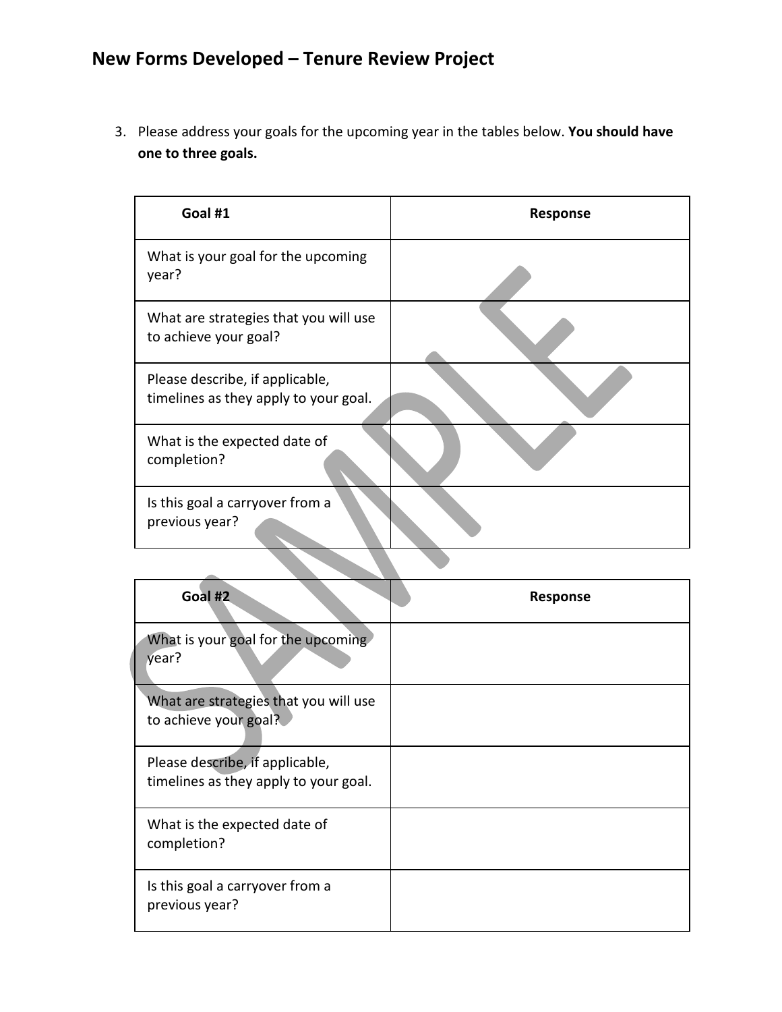3. Please address your goals for the upcoming year in the tables below. **You should have one to three goals.**

| Goal #1                                                                  | Response |
|--------------------------------------------------------------------------|----------|
| What is your goal for the upcoming<br>year?                              |          |
| What are strategies that you will use<br>to achieve your goal?           |          |
| Please describe, if applicable,<br>timelines as they apply to your goal. |          |
| What is the expected date of<br>completion?                              |          |
| Is this goal a carryover from a<br>previous year?                        |          |

 $\mathbf{r}$ 

| Goal #2                                                                  | Response |
|--------------------------------------------------------------------------|----------|
| What is your goal for the upcoming<br>year?                              |          |
| What are strategies that you will use<br>to achieve your goal?           |          |
| Please describe, if applicable,<br>timelines as they apply to your goal. |          |
| What is the expected date of<br>completion?                              |          |
| Is this goal a carryover from a<br>previous year?                        |          |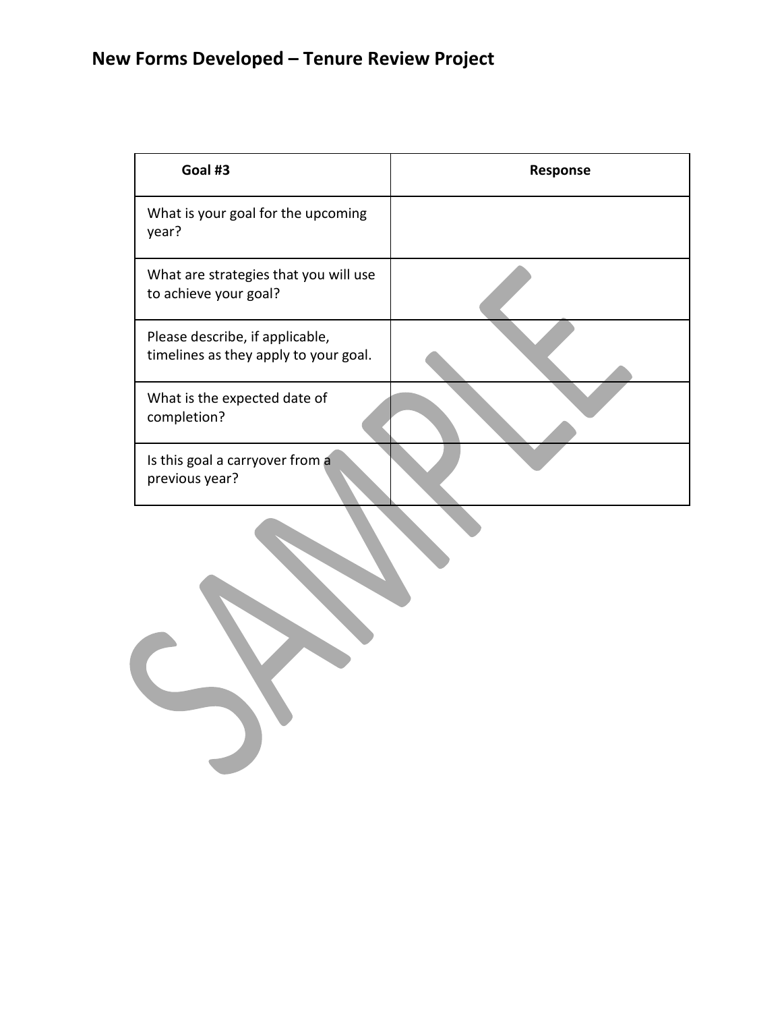| Goal #3                                                                  | Response |
|--------------------------------------------------------------------------|----------|
| What is your goal for the upcoming<br>year?                              |          |
| What are strategies that you will use<br>to achieve your goal?           |          |
| Please describe, if applicable,<br>timelines as they apply to your goal. |          |
| What is the expected date of<br>completion?                              |          |
| Is this goal a carryover from a<br>previous year?                        |          |
|                                                                          |          |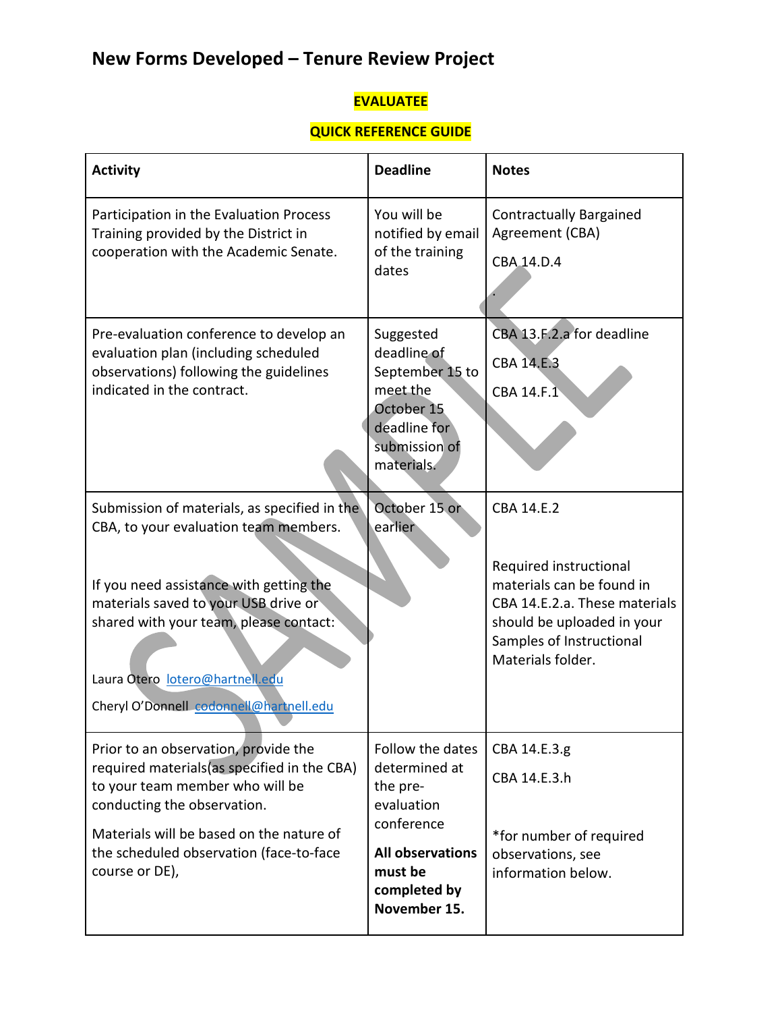## **EVALUATEE**

## **QUICK REFERENCE GUIDE**

| <b>Activity</b>                                                                                                                                                                                                                                                                                  | <b>Deadline</b>                                                                                                                                 | <b>Notes</b>                                                                                                                                                                      |
|--------------------------------------------------------------------------------------------------------------------------------------------------------------------------------------------------------------------------------------------------------------------------------------------------|-------------------------------------------------------------------------------------------------------------------------------------------------|-----------------------------------------------------------------------------------------------------------------------------------------------------------------------------------|
| Participation in the Evaluation Process<br>Training provided by the District in<br>cooperation with the Academic Senate.                                                                                                                                                                         | You will be<br>notified by email<br>of the training<br>dates                                                                                    | <b>Contractually Bargained</b><br>Agreement (CBA)<br>CBA <sub>-14.D.4</sub>                                                                                                       |
| Pre-evaluation conference to develop an<br>evaluation plan (including scheduled<br>observations) following the guidelines<br>indicated in the contract.                                                                                                                                          | Suggested<br>deadline of<br>September 15 to<br>meet the<br>October 15<br>deadline for<br>submission of<br>materials.                            | CBA 13.F.2.a for deadline<br><b>CBA 14.E.3</b><br>CBA 14.F.1                                                                                                                      |
| Submission of materials, as specified in the<br>CBA, to your evaluation team members.<br>If you need assistance with getting the<br>materials saved to your USB drive or<br>shared with your team, please contact:<br>Laura Otero lotero@hartnell.edu<br>Cheryl O'Donnell codonnell@hartnell.edu | October 15 or<br>earlier                                                                                                                        | CBA 14.E.2<br>Required instructional<br>materials can be found in<br>CBA 14.E.2.a. These materials<br>should be uploaded in your<br>Samples of Instructional<br>Materials folder. |
| Prior to an observation, provide the<br>required materials (as specified in the CBA)<br>to your team member who will be<br>conducting the observation.<br>Materials will be based on the nature of<br>the scheduled observation (face-to-face<br>course or DE),                                  | Follow the dates<br>determined at<br>the pre-<br>evaluation<br>conference<br><b>All observations</b><br>must be<br>completed by<br>November 15. | CBA 14.E.3.g<br>CBA 14.E.3.h<br>*for number of required<br>observations, see<br>information below.                                                                                |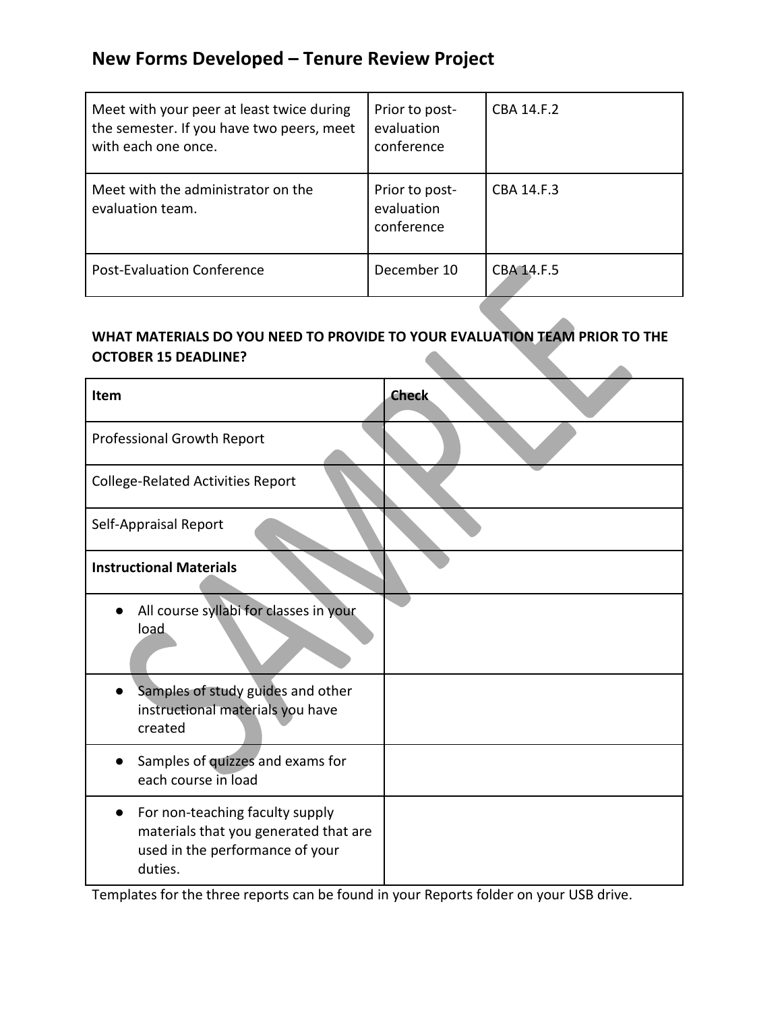| Meet with your peer at least twice during<br>the semester. If you have two peers, meet<br>with each one once. | Prior to post-<br>evaluation<br>conference | CBA 14.F.2 |
|---------------------------------------------------------------------------------------------------------------|--------------------------------------------|------------|
| Meet with the administrator on the<br>evaluation team.                                                        | Prior to post-<br>evaluation<br>conference | CBA 14.F.3 |
| <b>Post-Evaluation Conference</b>                                                                             | December 10                                | CBA 14.F.5 |

#### **WHAT MATERIALS DO YOU NEED TO PROVIDE TO YOUR EVALUATION TEAM PRIOR TO THE OCTOBER 15 DEADLINE?**

| <b>Item</b>                                                                                                            | <b>Check</b> |
|------------------------------------------------------------------------------------------------------------------------|--------------|
| Professional Growth Report                                                                                             |              |
| <b>College-Related Activities Report</b>                                                                               |              |
| Self-Appraisal Report                                                                                                  |              |
| <b>Instructional Materials</b>                                                                                         |              |
| All course syllabi for classes in your<br>load                                                                         |              |
| Samples of study guides and other<br>instructional materials you have<br>created                                       |              |
| Samples of quizzes and exams for<br>each course in load                                                                |              |
| For non-teaching faculty supply<br>materials that you generated that are<br>used in the performance of your<br>duties. |              |

Templates for the three reports can be found in your Reports folder on your USB drive.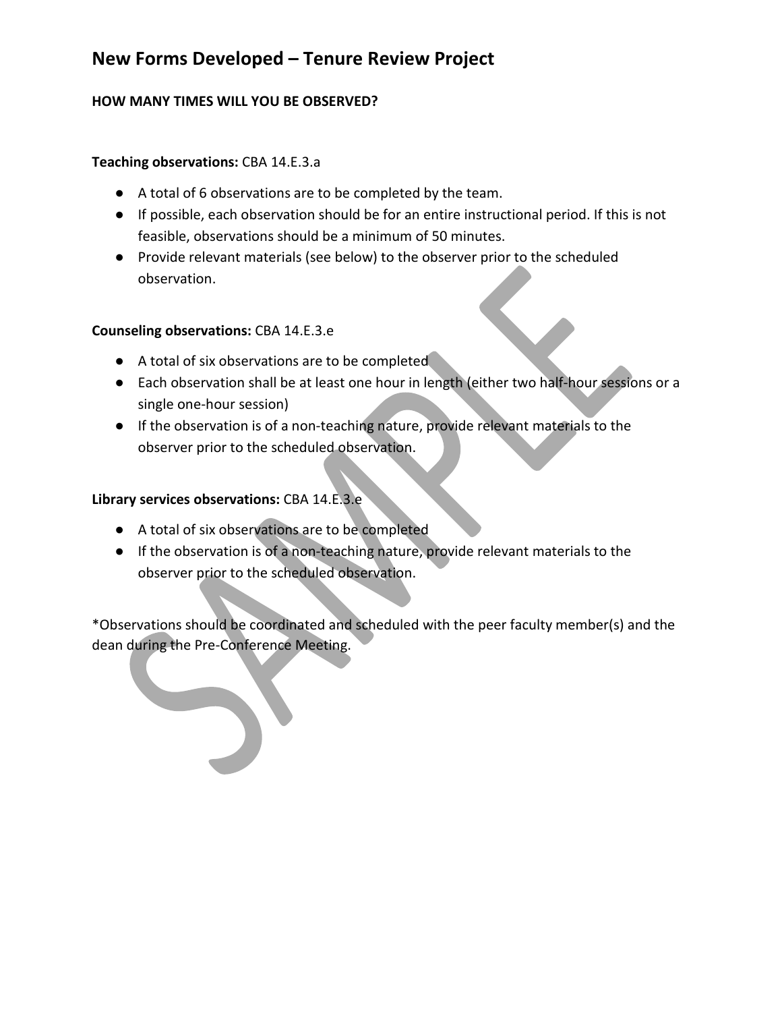#### **HOW MANY TIMES WILL YOU BE OBSERVED?**

#### **Teaching observations:** CBA 14.E.3.a

- A total of 6 observations are to be completed by the team.
- If possible, each observation should be for an entire instructional period. If this is not feasible, observations should be a minimum of 50 minutes.
- Provide relevant materials (see below) to the observer prior to the scheduled observation.

#### **Counseling observations:** CBA 14.E.3.e

- A total of six observations are to be completed
- Each observation shall be at least one hour in length (either two half-hour sessions or a single one-hour session)
- If the observation is of a non-teaching nature, provide relevant materials to the observer prior to the scheduled observation.

#### **Library services observations:** CBA 14.E.3.e

- A total of six observations are to be completed
- If the observation is of a non-teaching nature, provide relevant materials to the observer prior to the scheduled observation.

\*Observations should be coordinated and scheduled with the peer faculty member(s) and the dean during the Pre-Conference Meeting.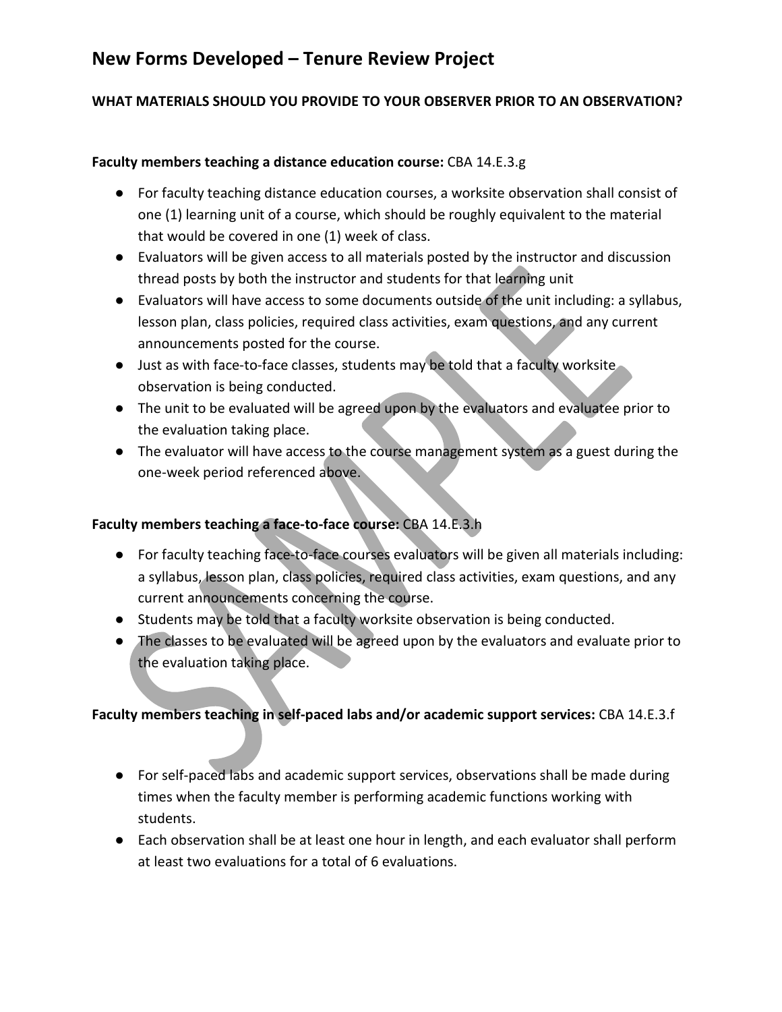#### **WHAT MATERIALS SHOULD YOU PROVIDE TO YOUR OBSERVER PRIOR TO AN OBSERVATION?**

#### **Faculty members teaching a distance education course:** CBA 14.E.3.g

- For faculty teaching distance education courses, a worksite observation shall consist of one (1) learning unit of a course, which should be roughly equivalent to the material that would be covered in one (1) week of class.
- Evaluators will be given access to all materials posted by the instructor and discussion thread posts by both the instructor and students for that learning unit
- Evaluators will have access to some documents outside of the unit including: a syllabus, lesson plan, class policies, required class activities, exam questions, and any current announcements posted for the course.
- Just as with face-to-face classes, students may be told that a faculty worksite observation is being conducted.
- The unit to be evaluated will be agreed upon by the evaluators and evaluatee prior to the evaluation taking place.
- The evaluator will have access to the course management system as a guest during the one-week period referenced above.

#### **Faculty members teaching a face-to-face course:** CBA 14.E.3.h

- For faculty teaching face-to-face courses evaluators will be given all materials including: a syllabus, lesson plan, class policies, required class activities, exam questions, and any current announcements concerning the course.
- Students may be told that a faculty worksite observation is being conducted.
- The classes to be evaluated will be agreed upon by the evaluators and evaluate prior to the evaluation taking place.

#### **Faculty members teaching in self-paced labs and/or academic support services:** CBA 14.E.3.f

- For self-paced labs and academic support services, observations shall be made during times when the faculty member is performing academic functions working with students.
- Each observation shall be at least one hour in length, and each evaluator shall perform at least two evaluations for a total of 6 evaluations.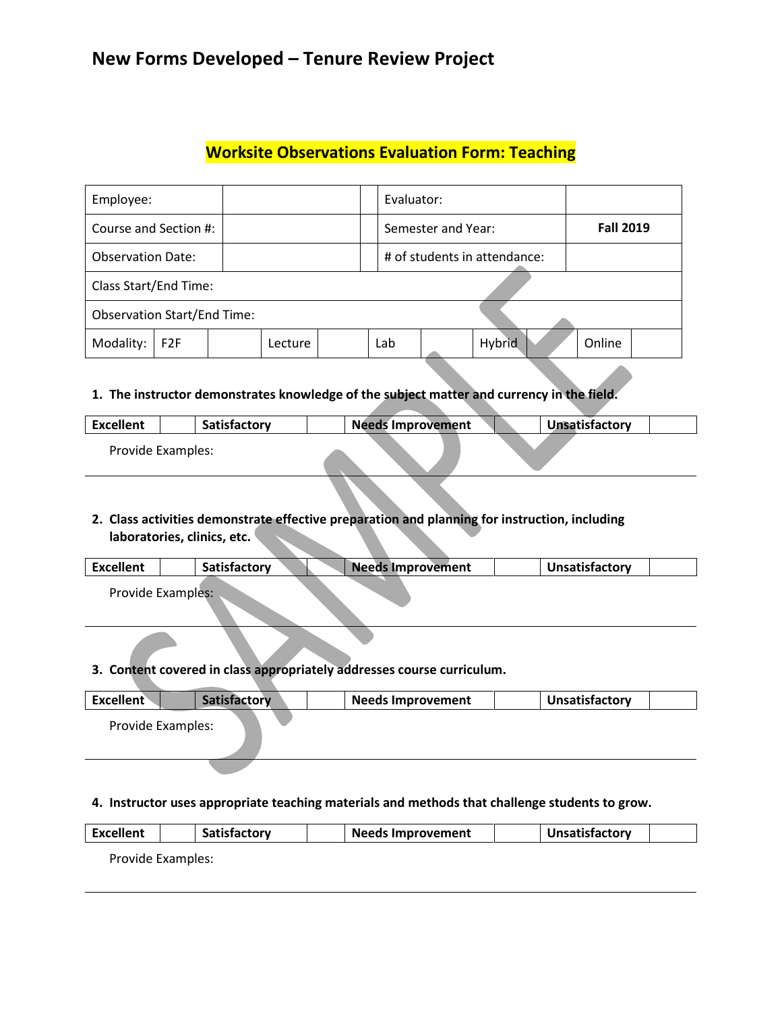### **Worksite Observations Evaluation Form: Teaching**

| Employee:                          |                              |  |         |  |                    | Evaluator: |               |  |                  |  |
|------------------------------------|------------------------------|--|---------|--|--------------------|------------|---------------|--|------------------|--|
| Course and Section #:              |                              |  |         |  | Semester and Year: |            |               |  | <b>Fall 2019</b> |  |
| <b>Observation Date:</b>           | # of students in attendance: |  |         |  |                    |            |               |  |                  |  |
|                                    | Class Start/End Time:        |  |         |  |                    |            |               |  |                  |  |
| <b>Observation Start/End Time:</b> |                              |  |         |  |                    |            |               |  |                  |  |
| Modality:                          | F <sub>2F</sub>              |  | Lecture |  | Lab                |            | <b>Hybrid</b> |  | Online           |  |
|                                    |                              |  |         |  |                    |            |               |  |                  |  |

#### **1. The instructor demonstrates knowledge of the subject matter and currency in the field.**

| <b>Excellent</b>  | Satisfactory | <b>Needs Improvement</b> | Unsatisfactory |
|-------------------|--------------|--------------------------|----------------|
| Provide Examples: |              |                          |                |

# **2. Class activities demonstrate effective preparation and planning for instruction, including**

#### **laboratories, clinics, etc.**

| <b>Excellent</b> | <b>Satisfactory</b> | <b>Needs Improvement</b> | <b>Unsatisfactory</b> |  |
|------------------|---------------------|--------------------------|-----------------------|--|
|                  | Provide Examples:   |                          |                       |  |

#### **3. Content covered in class appropriately addresses course curriculum.**

| <b>Excellent</b>         | Satisfactory | <b>Needs Improvement</b> | <b>Unsatisfactory</b> |
|--------------------------|--------------|--------------------------|-----------------------|
| <b>Provide Examples:</b> |              |                          |                       |
|                          |              |                          |                       |

#### **4. Instructor uses appropriate teaching materials and methods that challenge students to grow.**

| <b>Excellent</b>  |  | <b>Satisfactory</b> |  | <b>Needs Improvement</b> | Unsatisfactory |  |
|-------------------|--|---------------------|--|--------------------------|----------------|--|
| Provide Examples: |  |                     |  |                          |                |  |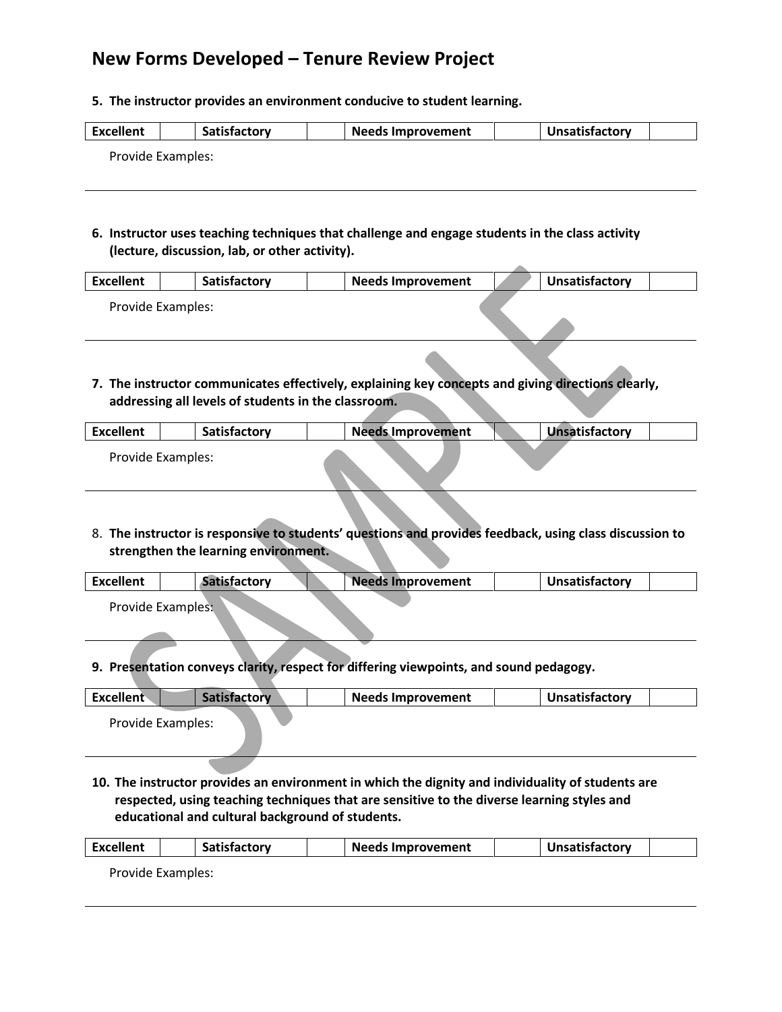**5. The instructor provides an environment conducive to student learning.**

| <b>Excellent</b> | Satisfactorv | <b>Needs Improvement</b> | <b>Unsatisfactory</b> |  |
|------------------|--------------|--------------------------|-----------------------|--|
|                  |              |                          |                       |  |

Provide Examples:

**6. Instructor uses teaching techniques that challenge and engage students in the class activity (lecture, discussion, lab, or other activity).**

| <b>Excellent</b> | <b>Satisfactory</b> | <b>Needs Improvement</b> | Unsatisfactory |  |
|------------------|---------------------|--------------------------|----------------|--|
|                  | Provide Examples:   |                          |                |  |

**7. The instructor communicates effectively, explaining key concepts and giving directions clearly, addressing all levels of students in the classroom.**

| <b>Excellent</b>  | Satisfactory | <b>Needs Improvement</b> | Unsatisfactory |
|-------------------|--------------|--------------------------|----------------|
| Provide Examples: |              |                          |                |

8. **The instructor is responsive to students' questions and provides feedback, using class discussion to strengthen the learning environment.**

| Excellent | Satisfactory      | <b>Needs Improvement</b> | Unsatisfactory |
|-----------|-------------------|--------------------------|----------------|
|           | Provide Examples: |                          |                |

**9. Presentation conveys clarity, respect for differing viewpoints, and sound pedagogy.**

| <b>Excellent</b>  | Satisfactory | <b>Needs Improvement</b> | Unsatisfactory |
|-------------------|--------------|--------------------------|----------------|
| Provide Examples: |              |                          |                |

**10. The instructor provides an environment in which the dignity and individuality of students are respected, using teaching techniques that are sensitive to the diverse learning styles and educational and cultural background of students.**

| Excellent | <b>Satisfactory</b> | <b>Needs Improvement</b> | <b>Unsatisfactory</b> |  |
|-----------|---------------------|--------------------------|-----------------------|--|
|           |                     |                          |                       |  |

Provide Examples: